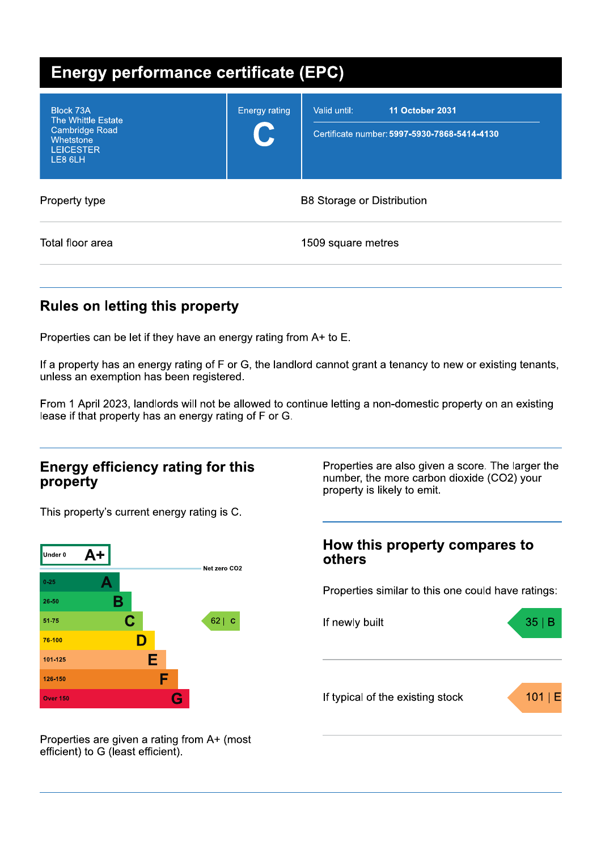| <b>Energy performance certificate (EPC)</b>                                                          |                           |                                                                                        |  |  |
|------------------------------------------------------------------------------------------------------|---------------------------|----------------------------------------------------------------------------------------|--|--|
| Block 73A<br>The Whittle Estate<br><b>Cambridge Road</b><br>Whetstone<br><b>LEICESTER</b><br>LE8 6LH | <b>Energy rating</b><br>U | <b>11 October 2031</b><br>Valid until:<br>Certificate number: 5997-5930-7868-5414-4130 |  |  |
| Property type                                                                                        |                           | <b>B8 Storage or Distribution</b>                                                      |  |  |
| Total floor area                                                                                     |                           | 1509 square metres                                                                     |  |  |

## **Rules on letting this property**

Properties can be let if they have an energy rating from A+ to E.

If a property has an energy rating of F or G, the landlord cannot grant a tenancy to new or existing tenants, unless an exemption has been registered.

From 1 April 2023, landlords will not be allowed to continue letting a non-domestic property on an existing lease if that property has an energy rating of F or G.

### **Energy efficiency rating for this** property

This property's current energy rating is C.



Properties are also given a score. The larger the number, the more carbon dioxide (CO2) your property is likely to emit.

### How this property compares to others

Properties similar to this one could have ratings:



Properties are given a rating from A+ (most efficient) to G (least efficient).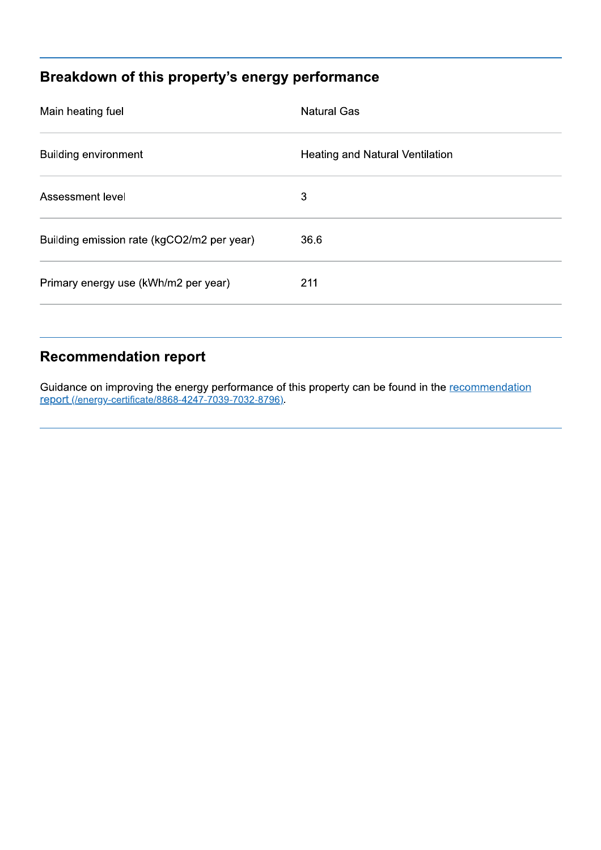# Breakdown of this property's energy performance

| Main heating fuel                          | <b>Natural Gas</b>              |
|--------------------------------------------|---------------------------------|
| <b>Building environment</b>                | Heating and Natural Ventilation |
| Assessment level                           | 3                               |
| Building emission rate (kgCO2/m2 per year) | 36.6                            |
| Primary energy use (kWh/m2 per year)       | 211                             |
|                                            |                                 |

### **Recommendation report**

Guidance on improving the energy performance of this property can be found in the recommendation report (/energy-certificate/8868-4247-7039-7032-8796).